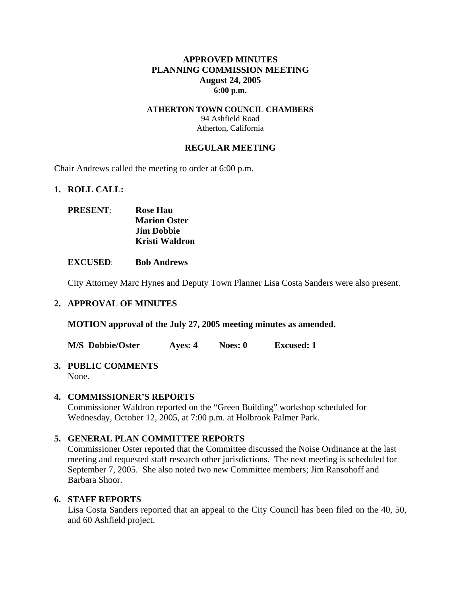# **APPROVED MINUTES PLANNING COMMISSION MEETING August 24, 2005 6:00 p.m.**

# **ATHERTON TOWN COUNCIL CHAMBERS**  94 Ashfield Road Atherton, California

# **REGULAR MEETING**

Chair Andrews called the meeting to order at 6:00 p.m.

#### **1. ROLL CALL:**

| <b>PRESENT:</b> | <b>Rose Hau</b>       |
|-----------------|-----------------------|
|                 | <b>Marion Oster</b>   |
|                 | <b>Jim Dobbie</b>     |
|                 | <b>Kristi Waldron</b> |

**EXCUSED**: **Bob Andrews** 

City Attorney Marc Hynes and Deputy Town Planner Lisa Costa Sanders were also present.

# **2. APPROVAL OF MINUTES**

**MOTION approval of the July 27, 2005 meeting minutes as amended.** 

**M/S Dobbie/Oster Ayes: 4 Noes: 0 Excused: 1** 

#### **3. PUBLIC COMMENTS**  None.

# **4. COMMISSIONER'S REPORTS**

Commissioner Waldron reported on the "Green Building" workshop scheduled for Wednesday, October 12, 2005, at 7:00 p.m. at Holbrook Palmer Park.

# **5. GENERAL PLAN COMMITTEE REPORTS**

Commissioner Oster reported that the Committee discussed the Noise Ordinance at the last meeting and requested staff research other jurisdictions. The next meeting is scheduled for September 7, 2005. She also noted two new Committee members; Jim Ransohoff and Barbara Shoor.

# **6. STAFF REPORTS**

Lisa Costa Sanders reported that an appeal to the City Council has been filed on the 40, 50, and 60 Ashfield project.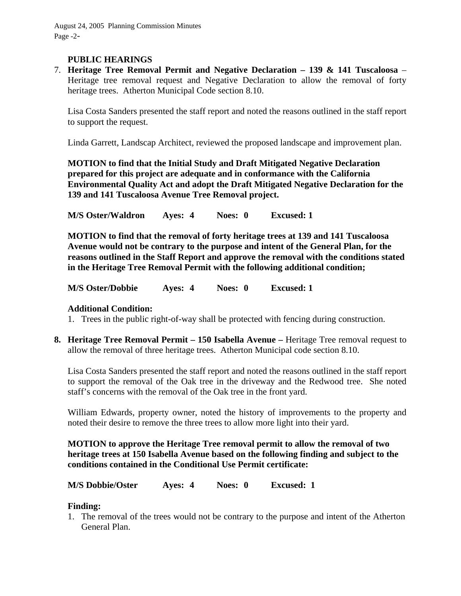# **PUBLIC HEARINGS**

7. **Heritage Tree Removal Permit and Negative Declaration – 139 & 141 Tuscaloosa** – Heritage tree removal request and Negative Declaration to allow the removal of forty heritage trees. Atherton Municipal Code section 8.10.

Lisa Costa Sanders presented the staff report and noted the reasons outlined in the staff report to support the request.

Linda Garrett, Landscap Architect, reviewed the proposed landscape and improvement plan.

**MOTION to find that the Initial Study and Draft Mitigated Negative Declaration prepared for this project are adequate and in conformance with the California Environmental Quality Act and adopt the Draft Mitigated Negative Declaration for the 139 and 141 Tuscaloosa Avenue Tree Removal project.** 

**M/S Oster/Waldron Ayes: 4 Noes: 0 Excused: 1** 

**MOTION to find that the removal of forty heritage trees at 139 and 141 Tuscaloosa Avenue would not be contrary to the purpose and intent of the General Plan, for the reasons outlined in the Staff Report and approve the removal with the conditions stated in the Heritage Tree Removal Permit with the following additional condition;** 

**M/S Oster/Dobbie Ayes: 4 Noes: 0 Excused: 1** 

# **Additional Condition:**

- 1. Trees in the public right-of-way shall be protected with fencing during construction.
- **8. Heritage Tree Removal Permit 150 Isabella Avenue** Heritage Tree removal request to allow the removal of three heritage trees. Atherton Municipal code section 8.10.

Lisa Costa Sanders presented the staff report and noted the reasons outlined in the staff report to support the removal of the Oak tree in the driveway and the Redwood tree. She noted staff's concerns with the removal of the Oak tree in the front yard.

William Edwards, property owner, noted the history of improvements to the property and noted their desire to remove the three trees to allow more light into their yard.

**MOTION to approve the Heritage Tree removal permit to allow the removal of two heritage trees at 150 Isabella Avenue based on the following finding and subject to the conditions contained in the Conditional Use Permit certificate:** 

**M/S Dobbie/Oster Ayes: 4 Noes: 0 Excused: 1** 

# **Finding:**

1. The removal of the trees would not be contrary to the purpose and intent of the Atherton General Plan.